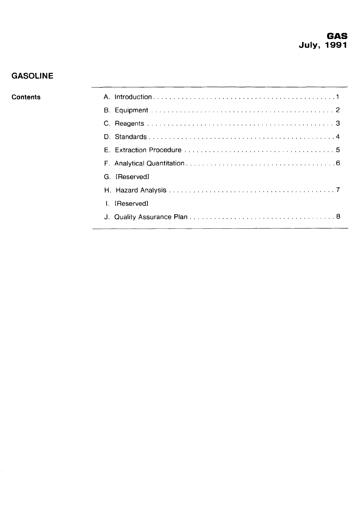# **GASOLINE**

#### **Contents**

| G. [Reserved] |
|---------------|
|               |
| [Reserved]    |
|               |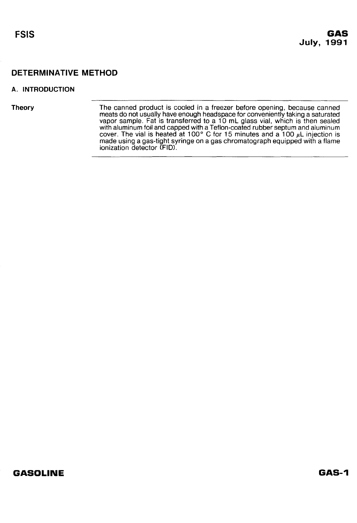#### <span id="page-1-0"></span>**A. INTRODUCTION**

**Theory** The canned product is cooled in a freezer before opening, because canned meats do not usually have enough headspace for conveniently taking a saturated vapor sample. Fat is transferred to a 10 mL glass vial, which is then sealed with aluminum foil and capped with a Teflon-coated rubber septum and aluminum cover. The vial is heated at 100" C for 15 minutes and a 100 **pL** injection is made using a gas-tight syringe on a gas chromatograph equipped with a flame ionization detector (FID).

## **GASOLINE**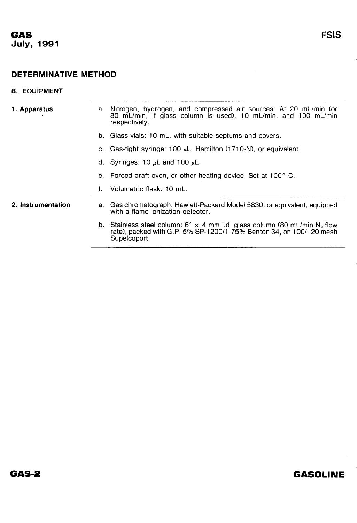## <span id="page-2-0"></span>**6. EQUIPMENT**

| 1. Apparatus       | а. | Nitrogen, hydrogen, and compressed air sources: At 20 mL/min (or<br>80 mL/min, if glass column is used), 10 mL/min, and 100 mL/min<br>respectively.                                 |
|--------------------|----|-------------------------------------------------------------------------------------------------------------------------------------------------------------------------------------|
|                    |    | b. Glass vials: 10 mL, with suitable septums and covers.                                                                                                                            |
|                    | C. | Gas-tight syringe: 100 $\mu$ L, Hamilton (1710-N), or equivalent.                                                                                                                   |
|                    |    | d. Syringes: 10 $\mu$ L and 100 $\mu$ L.                                                                                                                                            |
|                    | е. | Forced draft oven, or other heating device: Set at 100° C.                                                                                                                          |
|                    | f  | Volumetric flask: 10 mL.                                                                                                                                                            |
| 2. Instrumentation |    | a. Gas chromatograph: Hewlett-Packard Model 5830, or equivalent, equipped<br>with a flame ionization detector.                                                                      |
|                    |    | b. Stainless steel column: 6' $\times$ 4 mm i.d. glass column (80 mL/min N <sub>2</sub> flow<br>rate), packed with G.P. 5% SP-1200/1.75% Benton 34, on 100/120 mesh<br>Supelcoport. |
|                    |    |                                                                                                                                                                                     |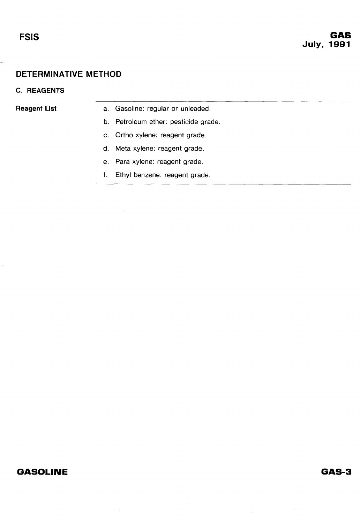#### <span id="page-3-0"></span>**C. REAGENTS**

- **Reagent List** a. Gasoline: regular or unleaded.
	- b. Petroleum ether: pesticide grade.
	- c. Ortho xylene: reagent grade.
	- d. Meta xylene: reagent grade.
	- e. Para xylene: reagent grade.
	- f. Ethyl benzene: reagent grade.

## **GASOLINE**

## GAS-3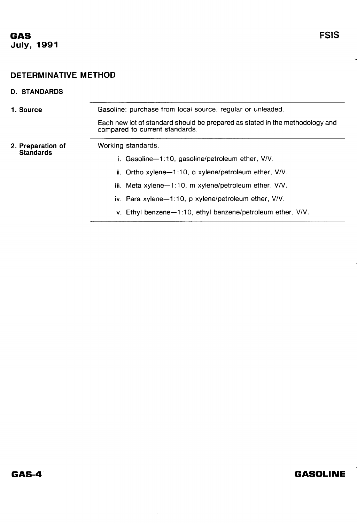# <span id="page-4-0"></span>**D. STANDARDS 1. Source** Gasoline: purchase from local source, regular or unleaded Each new lot of standard should be prepared as stated in the methodology and compared to current standards. **2. Preparation of Standards**  Working standards. i. Gasoline-1:10, gasoline/petroleum ether, V/V. ii. Ortho xylene-1:10, o xylene/petroleum ether, V/V. iii. Meta xylene-1:10, m xylene/petroleum ether, V/V. iv. Para xylene-1:10, p xylene/petroleum ether, V/V. v. Ethyl benzene--1:10, ethyl benzene/petroleum ether, V/V.

# **GASOLINE**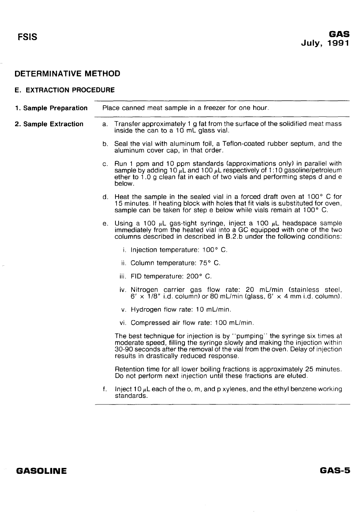#### <span id="page-5-0"></span>**E. EXTRACTION PROCEDURE**

| 1. Sample Preparation | Place canned meat sample in a freezer for one hour. |                                                                                                                                                                                                                                                                                      |  |
|-----------------------|-----------------------------------------------------|--------------------------------------------------------------------------------------------------------------------------------------------------------------------------------------------------------------------------------------------------------------------------------------|--|
| 2. Sample Extraction  |                                                     | a. Transfer approximately 1 g fat from the surface of the solidified meat mass<br>inside the can to a 10 mL glass vial.                                                                                                                                                              |  |
|                       |                                                     | b. Seal the vial with aluminum foil, a Teflon-coated rubber septum, and the<br>aluminum cover cap, in that order.                                                                                                                                                                    |  |
|                       |                                                     | c. Run 1 ppm and 10 ppm standards (approximations only) in parallel with<br>sample by adding 10 $\mu$ L and 100 $\mu$ L respectively of 1:10 gasoline/petroleum<br>ether to 1.0 g clean fat in each of two vials and performing steps d and e<br>below.                              |  |
|                       |                                                     | d. Heat the sample in the sealed vial in a forced draft oven at 100° C for<br>15 minutes. If heating block with holes that fit vials is substituted for oven,<br>sample can be taken for step e below while vials remain at 100° C.                                                  |  |
|                       |                                                     | e. Using a 100 $\mu$ L gas-tight syringe, inject a 100 $\mu$ L headspace sample<br>immediately from the heated vial into a GC equipped with one of the two<br>columns described in described in B.2.b under the following conditions:                                                |  |
|                       |                                                     | i. Injection temperature: 100° C.                                                                                                                                                                                                                                                    |  |
|                       |                                                     | ii. Column temperature: 75° C.                                                                                                                                                                                                                                                       |  |
|                       |                                                     | iii. FID temperature: 200° C.                                                                                                                                                                                                                                                        |  |
|                       |                                                     | iv. Nitrogen carrier gas flow rate: 20 mL/min (stainless steel,<br>$6' \times 1/8''$ i.d. column) or 80 mL/min (glass, $6' \times 4$ mm i.d. column).                                                                                                                                |  |
|                       |                                                     | v. Hydrogen flow rate: 10 mL/min.                                                                                                                                                                                                                                                    |  |
|                       |                                                     | vi. Compressed air flow rate: 100 mL/min.                                                                                                                                                                                                                                            |  |
|                       |                                                     | The best technique for injection is by "pumping" the syringe six times at<br>moderate speed, filling the syringe slowly and making the injection within<br>30-90 seconds after the removal of the vial from the oven. Delay of injection<br>results in drastically reduced response. |  |
|                       |                                                     | Retention time for all lower boiling fractions is approximately 25 minutes.<br>Do not perform next injection until these fractions are eluted.                                                                                                                                       |  |
|                       | f.                                                  | Inject 10 $\mu$ L each of the o, m, and p xylenes, and the ethyl benzene working<br>standards.                                                                                                                                                                                       |  |
|                       |                                                     |                                                                                                                                                                                                                                                                                      |  |

## **GASOLINE**

GAS-5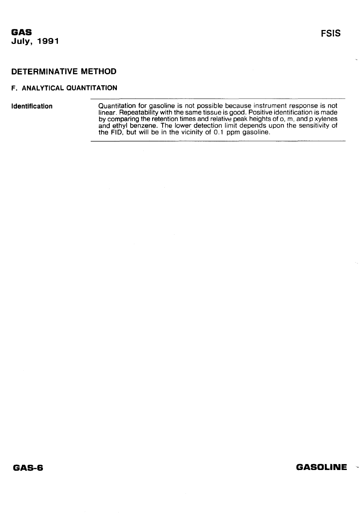# **FSIS**

## <span id="page-6-0"></span>**DETERMINATIVE METHOD**

#### **F. ANALYTICAL QUANTITATION**

**Identification Cuantilation for gasoline is not possible because instrument response is not** linear. Repeatability with the same tissue is good. Positive identification is made by comparing the retention times and relative peak heights of o, m, and p xylenes and ethyl benzene. The lower detection limit depends upon the sensitivity of the FID, but will be in the vicinity of 0.1 ppm gasoline.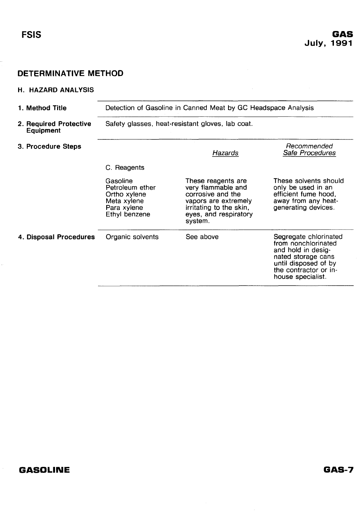<span id="page-7-0"></span>.,

# DETERMINATIVE METHOD

#### H. HAZARD ANALYSIS

| 1. Method Title                            | Detection of Gasoline in Canned Meat by GC Headspace Analysis                              |                                                                                                                                                      |                                                                                                                                                                |  |  |
|--------------------------------------------|--------------------------------------------------------------------------------------------|------------------------------------------------------------------------------------------------------------------------------------------------------|----------------------------------------------------------------------------------------------------------------------------------------------------------------|--|--|
| 2. Required Protective<br><b>Equipment</b> | Safety glasses, heat-resistant gloves, lab coat.                                           |                                                                                                                                                      |                                                                                                                                                                |  |  |
| 3. Procedure Steps                         |                                                                                            | Hazards                                                                                                                                              | Recommended<br>Safe Procedures                                                                                                                                 |  |  |
|                                            | C. Reagents                                                                                |                                                                                                                                                      |                                                                                                                                                                |  |  |
|                                            | Gasoline<br>Petroleum ether<br>Ortho xylene<br>Meta xylene<br>Para xylene<br>Ethyl benzene | These reagents are<br>very flammable and<br>corrosive and the<br>vapors are extremely<br>irritating to the skin,<br>eyes, and respiratory<br>system. | These solvents should<br>only be used in an<br>efficient fume hood,<br>away from any heat-<br>generating devices.                                              |  |  |
| 4. Disposal Procedures                     | Organic solvents                                                                           | See above                                                                                                                                            | Segregate chlorinated<br>from nonchlorinated<br>and hold in desig-<br>nated storage cans<br>until disposed of by<br>the contractor or in-<br>house specialist. |  |  |

# **GASOLINE**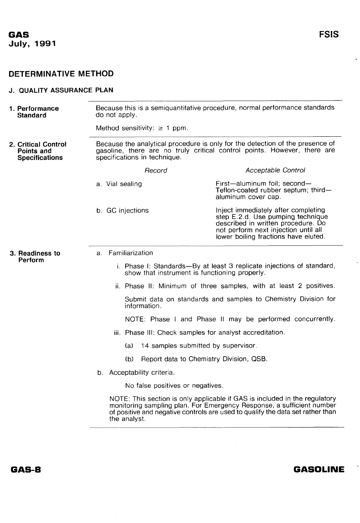#### <span id="page-8-0"></span>**J. QUALITY ASSURANCE PLAN**

| 1. Performance<br><b>Standard</b>                                 | do not apply.                                                                                                                                                                             | Because this is a semiquantitative procedure, normal performance standards                                                                                                                                                            |  |  |
|-------------------------------------------------------------------|-------------------------------------------------------------------------------------------------------------------------------------------------------------------------------------------|---------------------------------------------------------------------------------------------------------------------------------------------------------------------------------------------------------------------------------------|--|--|
|                                                                   | Method sensitivity: $\geq 1$ ppm.                                                                                                                                                         |                                                                                                                                                                                                                                       |  |  |
| 2. Critical Control<br><b>Points and</b><br><b>Specifications</b> | Because the analytical procedure is only for the detection of the presence of<br>gasoline, there are no truly critical control points. However, there are<br>specifications in technique. |                                                                                                                                                                                                                                       |  |  |
|                                                                   | Record                                                                                                                                                                                    | Acceptable Control                                                                                                                                                                                                                    |  |  |
|                                                                   | a. Vial sealing                                                                                                                                                                           | First-aluminum foil; second-<br>Teflon-coated rubber septum; third-<br>aluminum cover cap.                                                                                                                                            |  |  |
|                                                                   | b. GC injections                                                                                                                                                                          | Inject immediately after completing<br>step E.2.d. Use pumping technique<br>described in written procedure. Do<br>not perform next injection until all<br>lower boiling fractions have eluted.                                        |  |  |
| 3. Readiness to<br>Perform                                        | a. Familiarization                                                                                                                                                                        |                                                                                                                                                                                                                                       |  |  |
|                                                                   |                                                                                                                                                                                           | i. Phase I: Standards-By at least 3 replicate injections of standard,<br>show that instrument is functioning properly.                                                                                                                |  |  |
|                                                                   |                                                                                                                                                                                           | ii. Phase II: Minimum of three samples, with at least 2 positives.                                                                                                                                                                    |  |  |
|                                                                   | information.                                                                                                                                                                              | Submit data on standards and samples to Chemistry Division for                                                                                                                                                                        |  |  |
|                                                                   |                                                                                                                                                                                           | NOTE: Phase I and Phase II may be performed concurrently.                                                                                                                                                                             |  |  |
|                                                                   |                                                                                                                                                                                           | iii. Phase III: Check samples for analyst accreditation.                                                                                                                                                                              |  |  |
|                                                                   | (a)                                                                                                                                                                                       | 14 samples submitted by supervisor.                                                                                                                                                                                                   |  |  |
|                                                                   | (b)                                                                                                                                                                                       | Report data to Chemistry Division, QSB.                                                                                                                                                                                               |  |  |
|                                                                   | b. Acceptability criteria.                                                                                                                                                                |                                                                                                                                                                                                                                       |  |  |
|                                                                   | No false positives or negatives.                                                                                                                                                          |                                                                                                                                                                                                                                       |  |  |
|                                                                   | the analyst.                                                                                                                                                                              | NOTE: This section is only applicable if GAS is included in the regulatory<br>monitoring sampling plan. For Emergency Response, a sufficient number<br>of positive and negative controls are used to qualify the data set rather than |  |  |